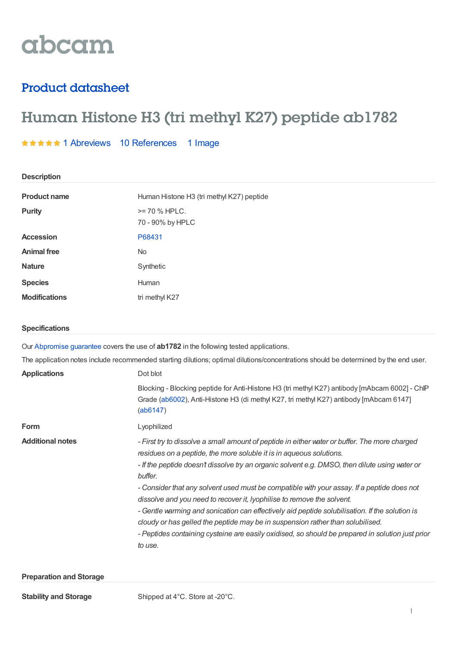# abcam

# Product datasheet

**Description**

# Human Histone H3 (tri methyl K27) peptide ab1782

# **★★★★★1 [Abreviews](https://www.abcam.com/human-histone-h3-tri-methyl-k27-peptide-ab1782.html?productWallTab=Abreviews) 10 [References](https://www.abcam.com/human-histone-h3-tri-methyl-k27-peptide-ab1782.html#description_references) 1 Image**

| <b>DESCRIPTION</b>    |                                                                                                                                                                                          |  |  |  |  |  |
|-----------------------|------------------------------------------------------------------------------------------------------------------------------------------------------------------------------------------|--|--|--|--|--|
| <b>Product name</b>   | Human Histone H3 (tri methyl K27) peptide                                                                                                                                                |  |  |  |  |  |
| <b>Purity</b>         | $>= 70$ % HPLC.<br>70 - 90% by HPLC                                                                                                                                                      |  |  |  |  |  |
| <b>Accession</b>      | P68431                                                                                                                                                                                   |  |  |  |  |  |
| <b>Animal free</b>    | No                                                                                                                                                                                       |  |  |  |  |  |
| <b>Nature</b>         | Synthetic                                                                                                                                                                                |  |  |  |  |  |
| <b>Species</b>        | Human                                                                                                                                                                                    |  |  |  |  |  |
| <b>Modifications</b>  | tri methyl K27                                                                                                                                                                           |  |  |  |  |  |
| <b>Specifications</b> |                                                                                                                                                                                          |  |  |  |  |  |
|                       | Our Abpromise guarantee covers the use of <b>ab1782</b> in the following tested applications.                                                                                            |  |  |  |  |  |
|                       | The application notes include recommended starting dilutions; optimal dilutions/concentrations should be determined by the end user.                                                     |  |  |  |  |  |
| <b>Applications</b>   | Dot blot                                                                                                                                                                                 |  |  |  |  |  |
|                       | Blocking - Blocking peptide for Anti-Histone H3 (tri methyl K27) antibody [mAbcam 6002] - ChIP<br>Grade (ab6002), Anti-Histone H3 (di methyl K27, tri methyl K27) antibody [mAbcam 6147] |  |  |  |  |  |

**Form** Lyophilized

[\(ab6147](histone-h3-di-methyl-k27-tri-methyl-k27-antibody-mabcam-6147-ab6147.html))

Additional notes **Additional notes** - First try to dissolve a small amount of peptide in either water or buffer. The more charged *residues on a peptide, the more soluble it is in aqueous solutions.*

> *- If the peptide doesn't dissolve try an organic solvent e.g. DMSO, then dilute using water or buffer.*

> *- Consider that any solvent used must be compatible with your assay. If a peptide does not dissolve and you need to recover it, lyophilise to remove the solvent.*

> *- Gentle warming and sonication can effectively aid peptide solubilisation. If the solution is cloudy or has gelled the peptide may be in suspension rather than solubilised.*

*- Peptides containing cysteine are easily oxidised, so should be prepared in solution just prior to use.*

## **Preparation and Storage**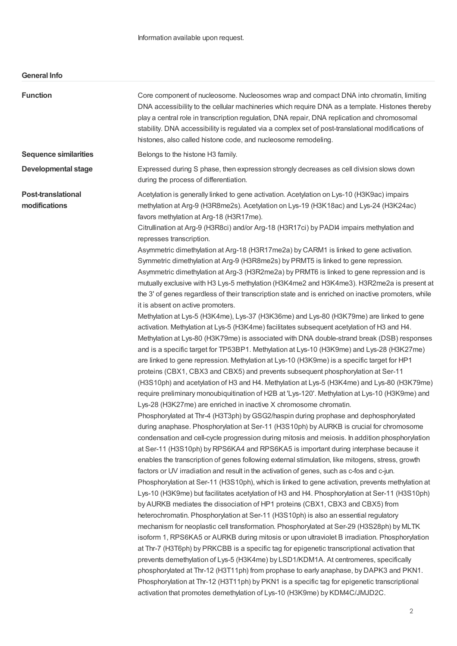# **General Info**

| <b>Function</b>                            | Core component of nucleosome. Nucleosomes wrap and compact DNA into chromatin, limiting<br>DNA accessibility to the cellular machineries which require DNA as a template. Histones thereby<br>play a central role in transcription regulation, DNA repair, DNA replication and chromosomal<br>stability. DNA accessibility is regulated via a complex set of post-translational modifications of<br>histones, also called histone code, and nucleosome remodeling.                                                                                                                                                                                                                                                                                                                                                                                                                                                                                                                                                                                                                                                                                                                                                                                                                                                                                                                                                                                                                                                                                                                                                                                                                                                                                                                                                                                                                                                                                                                                                                                                                                                                                                                                                                                                                                                                                                                                                                                                                                                                                                                                                                                                                                                                                                                                                                                                                                                                                                                                                                                                                                                                                                                                                                                                                                                                                  |
|--------------------------------------------|-----------------------------------------------------------------------------------------------------------------------------------------------------------------------------------------------------------------------------------------------------------------------------------------------------------------------------------------------------------------------------------------------------------------------------------------------------------------------------------------------------------------------------------------------------------------------------------------------------------------------------------------------------------------------------------------------------------------------------------------------------------------------------------------------------------------------------------------------------------------------------------------------------------------------------------------------------------------------------------------------------------------------------------------------------------------------------------------------------------------------------------------------------------------------------------------------------------------------------------------------------------------------------------------------------------------------------------------------------------------------------------------------------------------------------------------------------------------------------------------------------------------------------------------------------------------------------------------------------------------------------------------------------------------------------------------------------------------------------------------------------------------------------------------------------------------------------------------------------------------------------------------------------------------------------------------------------------------------------------------------------------------------------------------------------------------------------------------------------------------------------------------------------------------------------------------------------------------------------------------------------------------------------------------------------------------------------------------------------------------------------------------------------------------------------------------------------------------------------------------------------------------------------------------------------------------------------------------------------------------------------------------------------------------------------------------------------------------------------------------------------------------------------------------------------------------------------------------------------------------------------------------------------------------------------------------------------------------------------------------------------------------------------------------------------------------------------------------------------------------------------------------------------------------------------------------------------------------------------------------------------------------------------------------------------------------------------------------------------|
| <b>Sequence similarities</b>               | Belongs to the histone H3 family.                                                                                                                                                                                                                                                                                                                                                                                                                                                                                                                                                                                                                                                                                                                                                                                                                                                                                                                                                                                                                                                                                                                                                                                                                                                                                                                                                                                                                                                                                                                                                                                                                                                                                                                                                                                                                                                                                                                                                                                                                                                                                                                                                                                                                                                                                                                                                                                                                                                                                                                                                                                                                                                                                                                                                                                                                                                                                                                                                                                                                                                                                                                                                                                                                                                                                                                   |
| <b>Developmental stage</b>                 | Expressed during S phase, then expression strongly decreases as cell division slows down<br>during the process of differentiation.                                                                                                                                                                                                                                                                                                                                                                                                                                                                                                                                                                                                                                                                                                                                                                                                                                                                                                                                                                                                                                                                                                                                                                                                                                                                                                                                                                                                                                                                                                                                                                                                                                                                                                                                                                                                                                                                                                                                                                                                                                                                                                                                                                                                                                                                                                                                                                                                                                                                                                                                                                                                                                                                                                                                                                                                                                                                                                                                                                                                                                                                                                                                                                                                                  |
| <b>Post-translational</b><br>modifications | Acetylation is generally linked to gene activation. Acetylation on Lys-10 (H3K9ac) impairs<br>methylation at Arg-9 (H3R8me2s). Acetylation on Lys-19 (H3K18ac) and Lys-24 (H3K24ac)<br>favors methylation at Arg-18 (H3R17me).<br>Citrullination at Arg-9 (H3R8ci) and/or Arg-18 (H3R17ci) by PADI4 impairs methylation and<br>represses transcription.<br>Asymmetric dimethylation at Arg-18 (H3R17me2a) by CARM1 is linked to gene activation.<br>Symmetric dimethylation at Arg-9 (H3R8me2s) by PRMT5 is linked to gene repression.<br>Asymmetric dimethylation at Arg-3 (H3R2me2a) by PRMT6 is linked to gene repression and is<br>mutually exclusive with H3 Lys-5 methylation (H3K4me2 and H3K4me3). H3R2me2a is present at<br>the 3' of genes regardless of their transcription state and is enriched on inactive promoters, while<br>it is absent on active promoters.<br>Methylation at Lys-5 (H3K4me), Lys-37 (H3K36me) and Lys-80 (H3K79me) are linked to gene<br>activation. Methylation at Lys-5 (H3K4me) facilitates subsequent acetylation of H3 and H4.<br>Methylation at Lys-80 (H3K79me) is associated with DNA double-strand break (DSB) responses<br>and is a specific target for TP53BP1. Methylation at Lys-10 (H3K9me) and Lys-28 (H3K27me)<br>are linked to gene repression. Methylation at Lys-10 (H3K9me) is a specific target for HP1<br>proteins (CBX1, CBX3 and CBX5) and prevents subsequent phosphorylation at Ser-11<br>(H3S10ph) and acetylation of H3 and H4. Methylation at Lys-5 (H3K4me) and Lys-80 (H3K79me)<br>require preliminary monoubiquitination of H2B at 'Lys-120'. Methylation at Lys-10 (H3K9me) and<br>Lys-28 (H3K27me) are enriched in inactive X chromosome chromatin.<br>Phosphorylated at Thr-4 (H3T3ph) by GSG2/haspin during prophase and dephosphorylated<br>during anaphase. Phosphorylation at Ser-11 (H3S10ph) by AURKB is crucial for chromosome<br>condensation and cell-cycle progression during mitosis and meiosis. In addition phosphorylation<br>at Ser-11 (H3S10ph) by RPS6KA4 and RPS6KA5 is important during interphase because it<br>enables the transcription of genes following external stimulation, like mitogens, stress, growth<br>factors or UV irradiation and result in the activation of genes, such as c-fos and c-jun.<br>Phosphorylation at Ser-11 (H3S10ph), which is linked to gene activation, prevents methylation at<br>Lys-10 (H3K9me) but facilitates acetylation of H3 and H4. Phosphorylation at Ser-11 (H3S10ph)<br>by AURKB mediates the dissociation of HP1 proteins (CBX1, CBX3 and CBX5) from<br>heterochromatin. Phosphorylation at Ser-11 (H3S10ph) is also an essential regulatory<br>mechanism for neoplastic cell transformation. Phosphorylated at Ser-29 (H3S28ph) by MLTK<br>isoform 1, RPS6KA5 or AURKB during mitosis or upon ultraviolet B irradiation. Phosphorylation<br>at Thr-7 (H3T6ph) by PRKCBB is a specific tag for epigenetic transcriptional activation that<br>prevents demethylation of Lys-5 (H3K4me) by LSD1/KDM1A. At centromeres, specifically<br>phosphorylated at Thr-12 (H3T11ph) from prophase to early anaphase, by DAPK3 and PKN1.<br>Phosphorylation at Thr-12 (H3T11ph) by PKN1 is a specific tag for epigenetic transcriptional<br>activation that promotes demethylation of Lys-10 (H3K9me) by KDM4C/JMJD2C. |